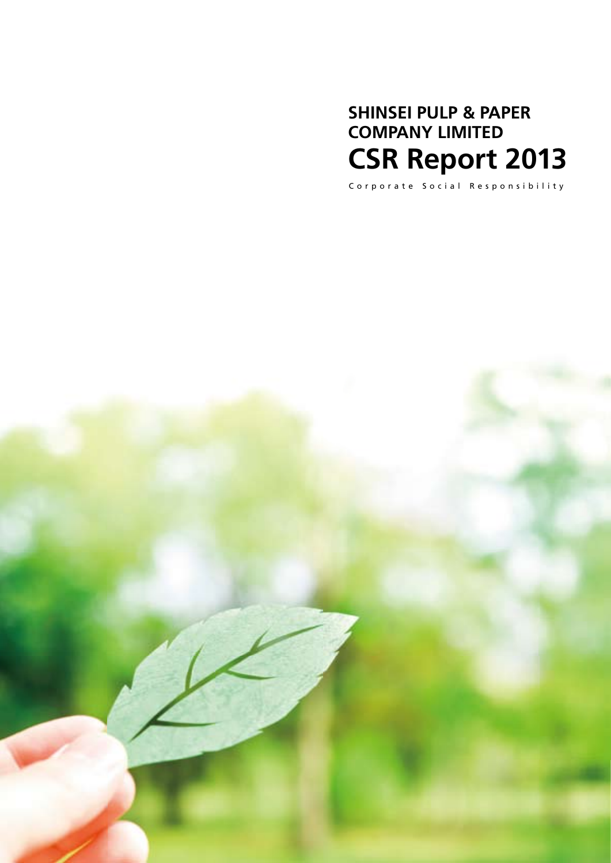## **SHINSEI PULP & PAPER COMPANY LIMITED CSR Report 2013**

Corporate Social Responsibility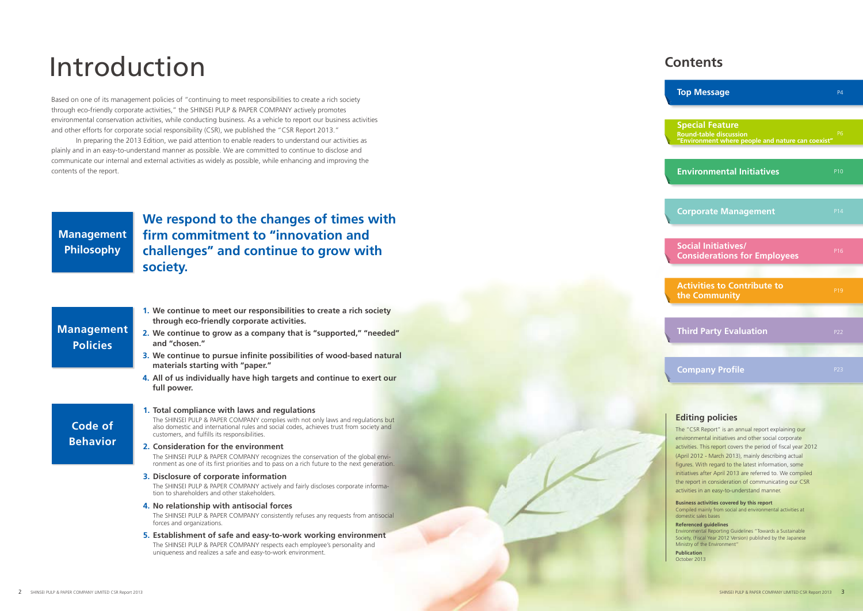# Introduction

Based on one of its management policies of "continuing to meet responsibilities to create a rich society through eco-friendly corporate activities," the SHINSEI PULP & PAPER COMPANY actively promotes environmental conservation activities, while conducting business. As a vehicle to report our business activities and other efforts for corporate social responsibility (CSR), we published the "CSR Report 2013."

#### customers, and fulfills its responsibilities. **2. Consideration for the environment**

The SHINSEI PULP & PAPER COMPANY recognizes the conservation of the global environment as one of its first priorities and to pass on a rich future to the next generation.

In preparing the 2013 Edition, we paid attention to enable readers to understand our activities as plainly and in an easy-to-understand manner as possible. We are committed to continue to disclose and communicate our internal and external activities as widely as possible, while enhancing and improving the contents of the report.

**1. Total compliance with laws and regulations**

The SHINSEI PULP & PAPER COMPANY complies with not only laws and regulations but also domestic and international rules and social codes, achieves trust from society and

#### **3. Disclosure of corporate information**

The SHINSEI PULP & PAPER COMPANY actively and fairly discloses corporate information to shareholders and other stakeholders.

#### **4. No relationship with antisocial forces**

The SHINSEI PULP & PAPER COMPANY consistently refuses any requests from antisocial forces and organizations.

**5. Establishment of safe and easy-to-work working environment** The SHINSEI PULP & PAPER COMPANY respects each employee's personality and uniqueness and realizes a safe and easy-to-work environment.

#### **Editing policies**

The "CSR Report" is an annual report explaining our environmental initiatives and other social corporate activities. This report covers the period of fiscal year 2012 (April 2012 - March 2013), mainly describing actual figures. With regard to the latest information, some initiatives after April 2013 are referred to. We compiled the report in consideration of communicating our CSR activities in an easy-to-understand manner.

**Business activities covered by this report** Compiled mainly from social and environmental activities at domestic sales bases

#### **Referenced guidelines**

Environmental Reporting Guidelines "Towards a Sustainable Society, (Fiscal Year 2012 Version) published by the Japanese Ministry of the Environment"

**Publication** October 2013

| <b>Top Message</b>                                                                                           | P4              |
|--------------------------------------------------------------------------------------------------------------|-----------------|
| <b>Special Feature</b><br><b>Round-table discussion</b><br>"Environment where people and nature can coexist" | <b>P6</b>       |
| <b>Environmental Initiatives</b>                                                                             | P <sub>10</sub> |
| <b>Corporate Management</b>                                                                                  | <b>P14</b>      |
| <b>Social Initiatives/</b><br><b>Considerations for Employees</b>                                            | P <sub>16</sub> |
| <b>Activities to Contribute to</b><br>the Community                                                          | P <sub>19</sub> |
| <b>Third Party Evaluation</b>                                                                                | P22             |
| <b>Company Profile</b>                                                                                       | P23             |
|                                                                                                              |                 |

### **Contents**

**We respond to the changes of times with firm commitment to "innovation and challenges" and continue to grow with society.**

- **1. We continue to meet our responsibilities to create a rich society through eco-friendly corporate activities.**
- **2. We continue to grow as a company that is "supported," "needed" and "chosen."**
- **3. We continue to pursue infinite possibilities of wood-based natural materials starting with "paper."**
- **4. All of us individually have high targets and continue to exert our full power.**

### **Management Philosophy**

### **Management Policies**

### **Code of Behavior**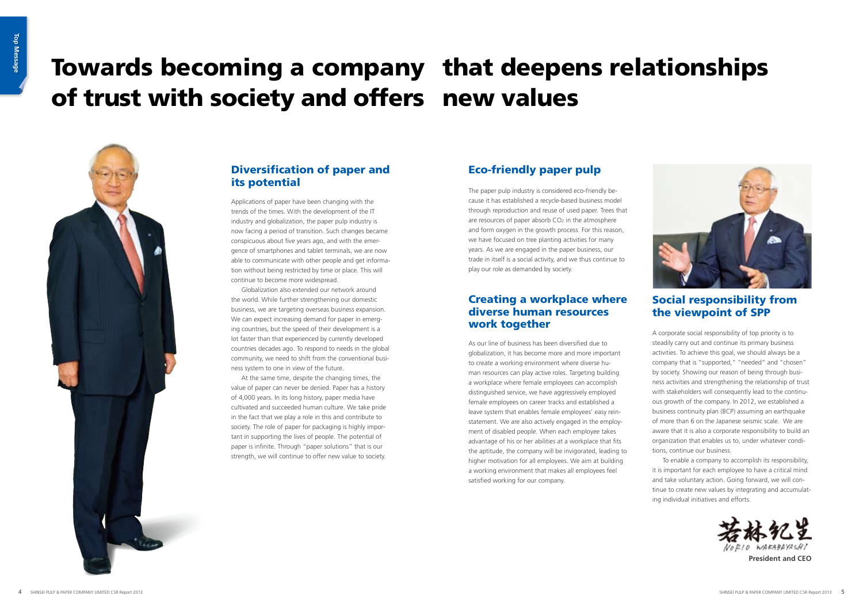

### **Diversification of paper and** its potential

# Towards becoming a company that deepens relationships of trust with society and offers new values



Applications of paper have been changing with the trends of the times. With the development of the IT industry and globalization, the paper pulp industry is now facing a period of transition. Such changes became conspicuous about five years ago, and with the emergence of smartphones and tablet terminals, we are now able to communicate with other people and get information without being restricted by time or place. This will continue to become more widespread.

Globalization also extended our network around the world. While further strengthening our domestic business, we are targeting overseas business expansion. We can expect increasing demand for paper in emerging countries, but the speed of their development is a lot faster than that experienced by currently developed countries decades ago. To respond to needs in the global community, we need to shift from the conventional business system to one in view of the future.

At the same time, despite the changing times, the value of paper can never be denied. Paper has a history of 4,000 years. In its long history, paper media have cultivated and succeeded human culture. We take pride in the fact that we play a role in this and contribute to society. The role of paper for packaging is highly important in supporting the lives of people. The potential of paper is infinite. Through "paper solutions" that is our strength, we will continue to offer new value to society.

### Eco-friendly paper pulp

The paper pulp industry is considered eco-friendly because it has established a recycle-based business model through reproduction and reuse of used paper. Trees that are resources of paper absorb CO<sub>2</sub> in the atmosphere and form oxygen in the growth process. For this reason, we have focused on tree planting activities for many years. As we are engaged in the paper business, our trade in itself is a social activity, and we thus continue to play our role as demanded by society.

### Creating a workplace where diverse human resources work together

As our line of business has been diversified due to globalization, it has become more and more important to create a working environment where diverse human resources can play active roles. Targeting building a workplace where female employees can accomplish distinguished service, we have aggressively employed female employees on career tracks and established a leave system that enables female employees' easy reinstatement. We are also actively engaged in the employment of disabled people. When each employee takes advantage of his or her abilities at a workplace that fits the aptitude, the company will be invigorated, leading to higher motivation for all employees. We aim at building a working environment that makes all employees feel satisfied working for our company.

### Social responsibility from the viewpoint of SPP

A corporate social responsibility of top priority is to steadily carry out and continue its primary business activities. To achieve this goal, we should always be a company that is "supported," "needed" and "chosen" by society. Showing our reason of being through business activities and strengthening the relationship of trust with stakeholders will consequently lead to the continuous growth of the company. In 2012, we established a business continuity plan (BCP) assuming an earthquake of more than 6 on the Japanese seismic scale. We are aware that it is also a corporate responsibility to build an organization that enables us to, under whatever conditions, continue our business.

To enable a company to accomplish its responsibility, it is important for each employee to have a critical mind and take voluntary action. Going forward, we will continue to create new values by integrating and accumulating individual initiatives and efforts.



**President and CEO**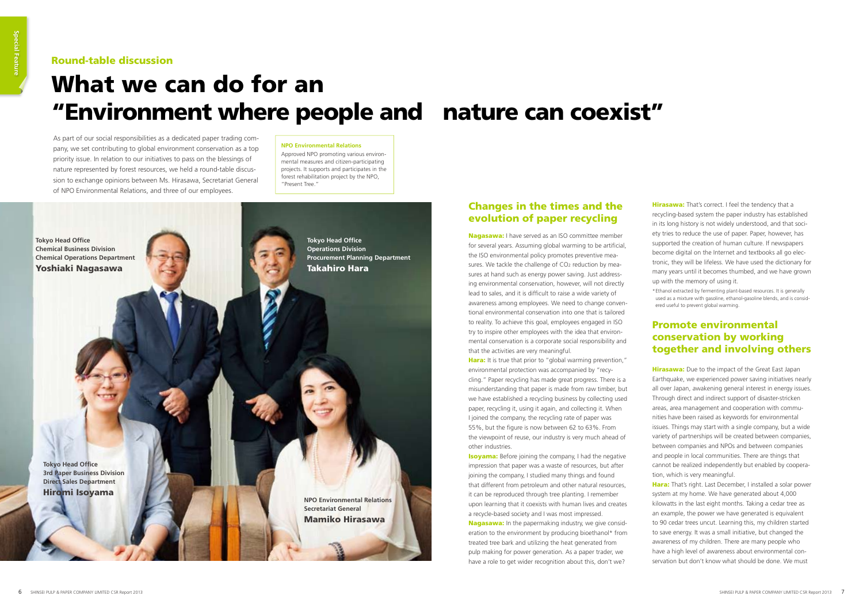#### Changes in the times and the evolution of paper recycling

**Nagasawa:** I have served as an ISO committee member for several years. Assuming global warming to be artificial, the ISO environmental policy promotes preventive measures. We tackle the challenge of CO2 reduction by measures at hand such as energy power saving. Just addressing environmental conservation, however, will not directly lead to sales, and it is difficult to raise a wide variety of awareness among employees. We need to change conventional environmental conservation into one that is tailored to reality. To achieve this goal, employees engaged in ISO try to inspire other employees with the idea that environmental conservation is a corporate social responsibility and that the activities are very meaningful.

**Hara:** It is true that prior to "global warming prevention," environmental protection was accompanied by "recycling." Paper recycling has made great progress. There is a misunderstanding that paper is made from raw timber, but we have established a recycling business by collecting used paper, recycling it, using it again, and collecting it. When I joined the company, the recycling rate of paper was 55%, but the figure is now between 62 to 63%. From the viewpoint of reuse, our industry is very much ahead of other industries.

**Isoyama:** Before joining the company, I had the negative impression that paper was a waste of resources, but after joining the company, I studied many things and found that different from petroleum and other natural resources, it can be reproduced through tree planting. I remember upon learning that it coexists with human lives and creates a recycle-based society and I was most impressed. **Nagasawa:** In the papermaking industry, we give consideration to the environment by producing bioethanol\* from treated tree bark and utilizing the heat generated from pulp making for power generation. As a paper trader, we

**Hirasawa:** That's correct. I feel the tendency that a recycling-based system the paper industry has established in its long history is not widely understood, and that society tries to reduce the use of paper. Paper, however, has supported the creation of human culture. If newspapers become digital on the Internet and textbooks all go electronic, they will be lifeless. We have used the dictionary for many years until it becomes thumbed, and we have grown up with the memory of using it.

**Hirasawa:** Due to the impact of the Great East Japan Earthquake, we experienced power saving initiatives nearly all over Japan, awakening general interest in energy issues. Through direct and indirect support of disaster-stricken areas, area management and cooperation with communities have been raised as keywords for environmental issues. Things may start with a single company, but a wide variety of partnerships will be created between companies, between companies and NPOs and between companies and people in local communities. There are things that cannot be realized independently but enabled by cooperation, which is very meaningful.

**Hara:** That's right. Last December, I installed a solar power system at my home. We have generated about 4,000 kilowatts in the last eight months. Taking a cedar tree as an example, the power we have generated is equivalent to 90 cedar trees uncut. Learning this, my children started to save energy. It was a small initiative, but changed the awareness of my children. There are many people who have a high level of awareness about environmental conservation but don't know what should be done. We must

have a role to get wider recognition about this, don't we?



\* Ethanol extracted by fermenting plant-based resources. It is generally used as a mixture with gasoline, ethanol-gasoline blends, and is considered useful to prevent global warming.

#### Promote environmental conservation by working together and involving others

## What we can do for an "Environment where people and nature can coexist"

#### Round-table discussion

As part of our social responsibilities as a dedicated paper trading company, we set contributing to global environment conservation as a top priority issue. In relation to our initiatives to pass on the blessings of nature represented by forest resources, we held a round-table discussion to exchange opinions between Ms. Hirasawa, Secretariat General of NPO Environmental Relations, and three of our employees.

#### **NPO Environmental Relations**

Approved NPO promoting various environmental measures and citizen-participating projects. It supports and participates in the forest rehabilitation project by the NPO, "Present Tree."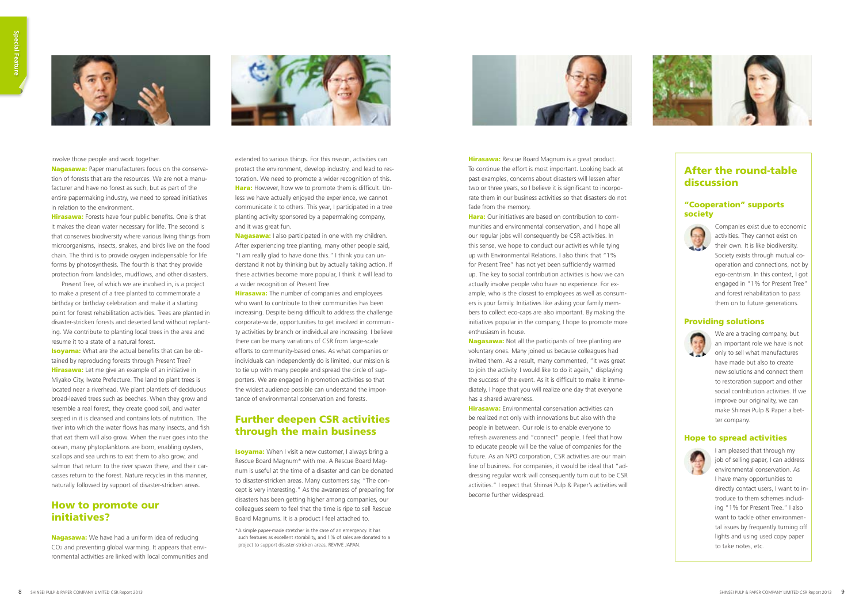**Hirasawa:** Rescue Board Magnum is a great product. To continue the effort is most important. Looking back at past examples, concerns about disasters will lessen after two or three years, so I believe it is significant to incorporate them in our business activities so that disasters do not fade from the memory.

**Hara:** Our initiatives are based on contribution to communities and environmental conservation, and I hope all our regular jobs will consequently be CSR activities. In this sense, we hope to conduct our activities while tying up with Environmental Relations. I also think that "1% for Present Tree" has not yet been sufficiently warmed up. The key to social contribution activities is how we can actually involve people who have no experience. For example, who is the closest to employees as well as consumers is your family. Initiatives like asking your family members to collect eco-caps are also important. By making the initiatives popular in the company, I hope to promote more enthusiasm in house.

**Nagasawa:** Not all the participants of tree planting are voluntary ones. Many joined us because colleagues had invited them. As a result, many commented, "It was great to join the activity. I would like to do it again," displaying the success of the event. As it is difficult to make it immediately, I hope that you will realize one day that everyone has a shared awareness.

**Hirasawa:** Environmental conservation activities can be realized not only with innovations but also with the people in between. Our role is to enable everyone to refresh awareness and "connect" people. I feel that how to educate people will be the value of companies for the future. As an NPO corporation, CSR activities are our main line of business. For companies, it would be ideal that "addressing regular work will consequently turn out to be CSR activities." I expect that Shinsei Pulp & Paper's activities will become further widespread.



**Nagasawa:** Paper manufacturers focus on the conservation of forests that are the resources. We are not a manufacturer and have no forest as such, but as part of the entire papermaking industry, we need to spread initiatives in relation to the environment.

Hirasawa: Forests have four public benefits. One is that it makes the clean water necessary for life. The second is that conserves biodiversity where various living things from microorganisms, insects, snakes, and birds live on the food chain. The third is to provide oxygen indispensable for life forms by photosynthesis. The fourth is that they provide protection from landslides, mudflows, and other disasters.

**Isoyama:** What are the actual benefits that can be obtained by reproducing forests through Present Tree? **Hirasawa:** Let me give an example of an initiative in Miyako City, Iwate Prefecture. The land to plant trees is located near a riverhead. We plant plantlets of deciduous broad-leaved trees such as beeches. When they grow and resemble a real forest, they create good soil, and water seeped in it is cleansed and contains lots of nutrition. The river into which the water flows has many insects, and fish that eat them will also grow. When the river goes into the ocean, many phytoplanktons are born, enabling oysters, scallops and sea urchins to eat them to also grow, and salmon that return to the river spawn there, and their carcasses return to the forest. Nature recycles in this manner, naturally followed by support of disaster-stricken areas.



**Nagasawa:** I also participated in one with my children. After experiencing tree planting, many other people said, "I am really glad to have done this." I think you can understand it not by thinking but by actually taking action. If these activities become more popular, I think it will lead to a wider recognition of Present Tree.

**Hirasawa:** The number of companies and employees who want to contribute to their communities has been increasing. Despite being difficult to address the challenge corporate-wide, opportunities to get involved in community activities by branch or individual are increasing. I believe there can be many variations of CSR from large-scale efforts to community-based ones. As what companies or individuals can independently do is limited, our mission is to tie up with many people and spread the circle of supporters. We are engaged in promotion activities so that the widest audience possible can understand the importance of environmental conservation and forests.

Present Tree, of which we are involved in, is a project to make a present of a tree planted to commemorate a birthday or birthday celebration and make it a starting point for forest rehabilitation activities. Trees are planted in disaster-stricken forests and deserted land without replanting. We contribute to planting local trees in the area and resume it to a state of a natural forest.

> **Isoyama:** When I visit a new customer, I always bring a Rescue Board Magnum\* with me. A Rescue Board Magnum is useful at the time of a disaster and can be donated to disaster-stricken areas. Many customers say, "The concept is very interesting." As the awareness of preparing for disasters has been getting higher among companies, our colleagues seem to feel that the time is ripe to sell Rescue Board Magnums. It is a product I feel attached to.



I am pleased that through my job of selling paper, I can address environmental conservation. As I have many opportunities to directly contact users, I want to introduce to them schemes including "1% for Present Tree." I also want to tackle other environmental issues by frequently turning off lights and using used copy paper to take notes, etc.

#### How to promote our initiatives?

Nagasawa: We have had a uniform idea of reducing CO2 and preventing global warming. It appears that environmental activities are linked with local communities and



extended to various things. For this reason, activities can protect the environment, develop industry, and lead to restoration. We need to promote a wider recognition of this. Hara: However, how we to promote them is difficult. Unless we have actually enjoyed the experience, we cannot communicate it to others. This year, I participated in a tree planting activity sponsored by a papermaking company, and it was great fun.

#### Further deepen CSR activities through the main business

\*A simple paper-made stretcher in the case of an emergency. It has such features as excellent storability, and 1% of sales are donated to a project to support disaster-stricken areas, REVIVE JAPAN.



#### After the round-table discussion

#### "Cooperation" supports society



Companies exist due to economic activities. They cannot exist on their own. It is like biodiversity. Society exists through mutual cooperation and connections, not by ego-centrism. In this context, I got engaged in "1% for Present Tree" and forest rehabilitation to pass them on to future generations.

#### Providing solutions



We are a trading company, but an important role we have is not only to sell what manufactures have made but also to create new solutions and connect them to restoration support and other social contribution activities. If we improve our originality, we can make Shinsei Pulp & Paper a better company.

#### Hope to spread activities

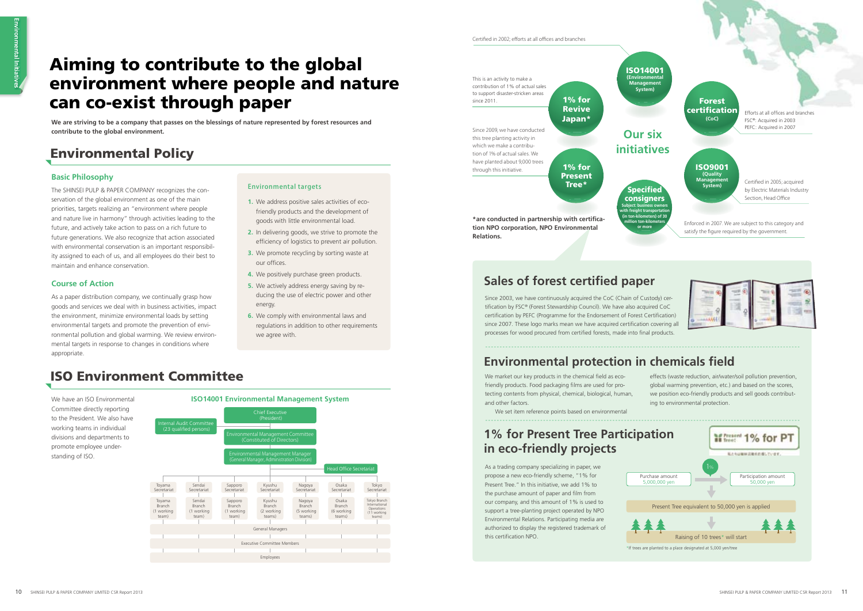Certified in 2002; efforts at all offices and branches

## Aiming to contribute to the global environment where people and nature can co-exist through paper

**We are striving to be a company that passes on the blessings of nature represented by forest resources and contribute to the global environment.** 

### Environmental Policy

### ISO Environment Committee

#### **Basic Philosophy**

The SHINSEI PULP & PAPER COMPANY recognizes the conservation of the global environment as one of the main priorities, targets realizing an "environment where people and nature live in harmony" through activities leading to the future, and actively take action to pass on a rich future to future generations. We also recognize that action associated with environmental conservation is an important responsibility assigned to each of us, and all employees do their best to maintain and enhance conservation.

#### **Course of Action**

As a paper distribution company, we continually grasp how goods and services we deal with in business activities, impact the environment, minimize environmental loads by setting environmental targets and promote the prevention of environmental pollution and global warming. We review environmental targets in response to changes in conditions where appropriate.

We have an ISO Environmental Committee directly reporting to the President. We also have working teams in individual divisions and departments to promote employee understanding of ISO.

### **ISO14001 Environmental Management System**



Since 2003, we have continuously acquired the CoC (Chain of Custody) certification by FSC® (Forest Stewardship Council). We have also acquired CoC certification by PEFC (Programme for the Endorsement of Forest Certification) since 2007. These logo marks mean we have acquired certification covering all processes for wood procured from certified forests, made into final products.

### **Environmental protection in chemicals field**

We market our key products in the chemical field as ecofriendly products. Food packaging films are used for protecting contents from physical, chemical, biological, human, and other factors.

As a trading company specializing in paper, we propose a new eco-friendly scheme, "1% for Present Tree." In this initiative, we add 1% to the purchase amount of paper and film from our company, and this amount of 1% is used to support a tree-planting project operated by NPO Environmental Relations. Participating media are authorized to display the registered trademark of this certification NPO.

- **1.** We address positive sales activities of ecofriendly products and the development of goods with little environmental load.
- **2.** In delivering goods, we strive to promote the efficiency of logistics to prevent air pollution.
- **3.** We promote recycling by sorting waste at our offices.
- **4.** We positively purchase green products.
- **5.** We actively address energy saving by reducing the use of electric power and other energy.
- **6.** We comply with environmental laws and regulations in addition to other requirements we agree with.



### **Sales of forest certified paper**

#### Environmental targets





We set item reference points based on environmental

effects (waste reduction, air/water/soil pollution prevention, global warming prevention, etc.) and based on the scores, we position eco-friendly products and sell goods contributing to environmental protection.

### **1% for Present Tree Participation in eco-friendly projects**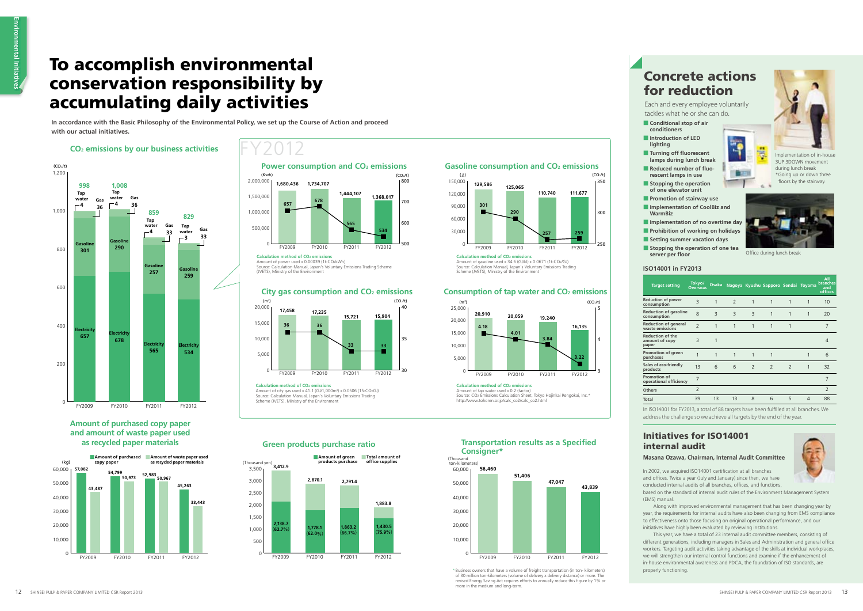## FY2012

## To accomplish environmental conservation responsibility by accumulating daily activities

**In accordance with the Basic Philosophy of the Environmental Policy, we set up the Course of Action and proceed with our actual initiatives.**

#### Initiatives for ISO14001 internal audit

| <b>ISO14001 in FY2013</b> |
|---------------------------|
|                           |

- based on the standard of internal audit rules of the Environment Management System (EMS) manual.
- Along with improved environmental management that has been changing year by year, the requirements for internal audits have also been changing from EMS compliance to effectiveness onto those focusing on original operational performance, and our initiatives have highly been evaluated by reviewing institutions.
- This year, we have a total of 23 internal audit committee members, consisting of different generations, including managers in Sales and Administration and general office workers. Targeting audit activities taking advantage of the skills at individual workplaces, we will strengthen our internal control functions and examine if the enhancement of in-house environmental awareness and PDCA, the foundation of ISO standards, are properly functioning.

#### **Masana Ozawa, Chairman, Internal Audit Committee**

In 2002, we acquired ISO14001 certification at all branches and offices. Twice a year (July and January) since then, we have conducted internal audits of all branches, offices, and functions,



#### **CO2 emissions by our business activities**



In ISO14001 for FY2013, a total of 88 targets have been fulfilled at all branches. We address the challenge so we achieve all targets by the end of the year.

- **conditioners** ■ **Introduction of LED**
- **lighting**
- **Turning off fluorescent lamps during lunch break Reduced number of fluorescent lamps in use**
- **Stopping the operation of one elevator unit**
- **Promotion of stairway use** ■ **Implementation of CoolBiz and**
- **WarmBiz**
- **Implementation of no overtime day** ■ **Prohibition of working on holidays**
- **Setting summer vacation days**
- **Stopping the operation of one tea**  server per floor



#### **Amount of purchased copy paper and amount of waste paper used as recycled paper materials**



(Thousand yen)

0 500 1,000 1,500 2,000 2,500 3,000 3,500

**2,138.7**

(**62.7**%) **1,778.1**

(**62.0**%)

**1,863.2** (**66.7**%) **1,430.5** (**75.9**%)

**3,412.9**

**2,870.1 2,791.4**

**1,883.8**

Calculation method of CO<sub>2</sub> emissions



Implementation of in-house 3UP 3DOWN movement during lunch break \*Going up or down three floors by the stairway.



Office during lunch break

 $6 - 9$ 

■**Amount of green**  ■**Total amount of** 

**products purchase**

Amount of city gas used x 41.1 (GJ/1,000m<sup>3</sup>) x 0.0506 (15-CO2GJ) Source: Calculation Manual, Japan's Voluntary Emissions Trading Source: Cardadion mandal, sapan 3 Yorani<br>Scheme (JVETS), Ministry of the Environmen

#### Gasoline consumption and CO<sub>2</sub> emissions

**office supplies**

FY2009 FY2010 FY2011 FY2012

| <b>Target setting</b>                              | Tokyo/<br><b>Overseas</b> | <b>Osaka</b>   |                |                          | Nagoya Kyushu Sapporo Sendai Toyama |                          |   | All<br>branches<br>and<br><b>offices</b> |
|----------------------------------------------------|---------------------------|----------------|----------------|--------------------------|-------------------------------------|--------------------------|---|------------------------------------------|
| <b>Reduction of power</b><br>consumption           | 3                         | 1              | $\overline{2}$ | 1                        | 1                                   | 1                        | 1 | 10                                       |
| <b>Reduction of gasoline</b><br>consumption        | $\mathsf{R}$              | $\overline{3}$ | 3              | 3                        | 1                                   | 1                        | 1 | 20                                       |
| <b>Reduction of general</b><br>waste emissions     | $\overline{\phantom{0}}$  | 1              | 1              | 1                        | 1                                   | 1                        |   | 7                                        |
| <b>Reduction of the</b><br>amount of copy<br>paper | 3                         | 1              |                |                          |                                     |                          |   | 4                                        |
| Promotion of green<br>purchases                    | 1                         | 1              | 1              | 1                        | 1                                   |                          | 1 | 6                                        |
| Sales of eco-friendly<br>products                  | 13                        | 6              | 6              | $\overline{\phantom{0}}$ | $\overline{2}$                      | $\overline{\phantom{0}}$ | 1 | 32                                       |
| Promotion of<br>operational efficiency             | 7                         |                |                |                          |                                     |                          |   | 7                                        |
| <b>Others</b>                                      | $\overline{2}$            |                |                |                          |                                     |                          |   | $\overline{2}$                           |
| <b>Total</b>                                       | 39                        | 13             | 13             | 8                        | 6                                   | 5                        | 4 | 88                                       |

■ **Conditional stop of air** 

Each and every employee voluntarily tackles what he or she can do.

### Concrete actions for reduction

Amount of gasoline used x 34.6 (GJ/kl) x 0.0671 (1t-CO2/GJ) Source: Calculation Manual, Japan's Voluntary Emissions Trading



Scheme (JVETS), Ministry of the Environment

#### **Consumption of tap water and CO2 emissions**

Amount of tap water used x 0.2 (factor) Source: CO2 Emissions Calculation Sheet, Tokyo Hojinkai Rengokai, Inc.\* http://www.tohoren.or.jp/calc\_co2/calc\_co2.html

**Transportation results as a Specified** 



**Calculation method of CO<sub>2</sub> emissions** 

Amount of power used x 0.00039 (1t-CO2kWh)

Source: Calculation Manual, Japan's Voluntary Emissions Trading Scheme (JVETS), Ministry of the Environment







**Green products purchase ratio Consigner \* Consigner\*** 

**56,460**

**51,406**



**47,047**

**43,839**

(Thousand ton-kilometers)

0

10,000 20,000 30,000 40,000 50,000 60,000

FY2009 FY2010 FY2011 FY2012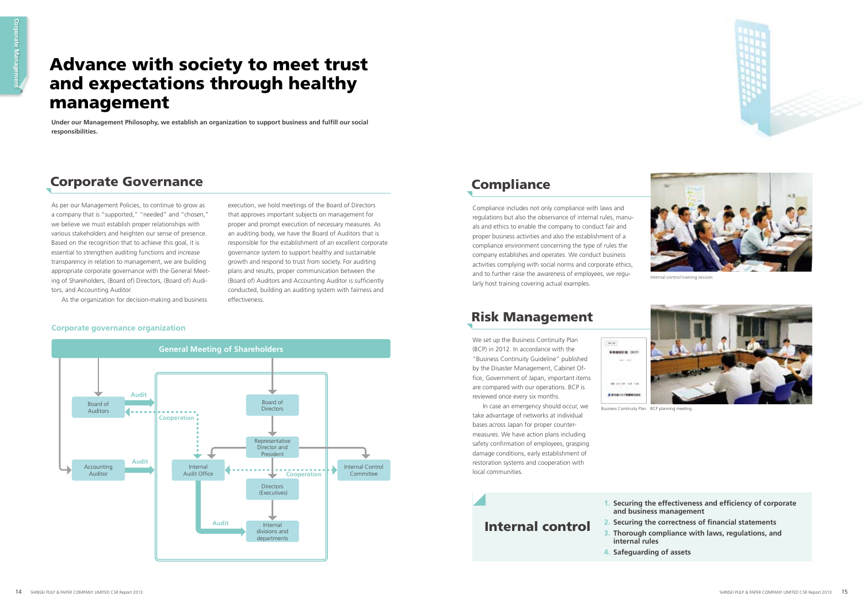Under our Management Philosophy, we establish an organization to support business and fulfill our social **responsibilities.**

## Advance with society to meet trust and expectations through healthy management

### Corporate Governance

As per our Management Policies, to continue to grow as a company that is "supported," "needed" and "chosen," we believe we must establish proper relationships with various stakeholders and heighten our sense of presence. Based on the recognition that to achieve this goal, it is essential to strengthen auditing functions and increase transparency in relation to management, we are building appropriate corporate governance with the General Meeting of Shareholders, (Board of) Directors, (Board of) Auditors, and Accounting Auditor.

> **1. Securing the effectiveness and efficiency of corporate and business management**

- **2. Securing the correctness of financial statements**
- **3. Thorough compliance with laws, regulations, and** 
	-

As the organization for decision-making and business



execution, we hold meetings of the Board of Directors that approves important subjects on management for proper and prompt execution of necessary measures. As an auditing body, we have the Board of Auditors that is responsible for the establishment of an excellent corporate governance system to support healthy and sustainable growth and respond to trust from society. For auditing plans and results, proper communication between the (Board of) Auditors and Accounting Auditor is sufficiently conducted, building an auditing system with fairness and

effectiveness.

### **Compliance**

### Internal control

- 
- **internal rules**
- **4. Safeguarding of assets**



#### **Corporate governance organization**

Compliance includes not only compliance with laws and regulations but also the observance of internal rules, manuals and ethics to enable the company to conduct fair and proper business activities and also the establishment of a compliance environment concerning the type of rules the company establishes and operates. We conduct business activities complying with social norms and corporate ethics, and to further raise the awareness of employees, we regularly host training covering actual examples.



Internal control training session



### Risk Management

We set up the Business Continuity Plan (BCP) in 2012. In accordance with the "Business Continuity Guideline" published by the Disaster Management, Cabinet Office, Government of Japan, important items are compared with our operations. BCP is reviewed once every six months.

In case an emergency should occur, we take advantage of networks at individual bases across Japan for proper countermeasures. We have action plans including safety confirmation of employees, grasping damage conditions, early establishment of restoration systems and cooperation with local communities.

Business Continuity Plan BCP planning meeting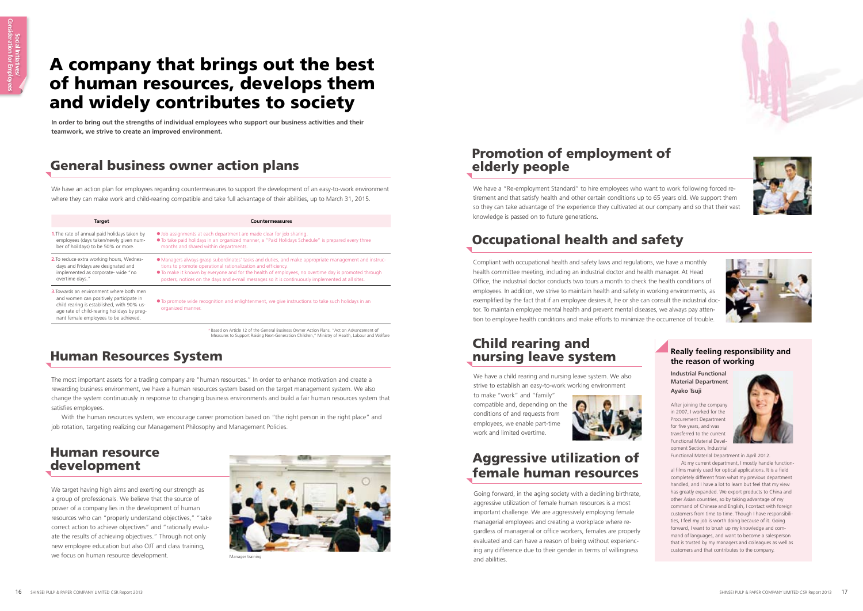





## A company that brings out the best of human resources, develops them and widely contributes to society

### General business owner action plans

### Human Resources System

### Human resource development

### Promotion of employment of elderly people

| In order to bring out the strengths of individual employees who support our business activities and their<br>teamwork, we strive to create an improved environment.                                                                                                                                                                                                                                                                                                                                                                                                                                     |                                                                                                                                                                                                                                                                                                                                                                                             |                                                                                                                                                                                                                                                                                                                                                                                                                                                                                                                                   |  |  |  |
|---------------------------------------------------------------------------------------------------------------------------------------------------------------------------------------------------------------------------------------------------------------------------------------------------------------------------------------------------------------------------------------------------------------------------------------------------------------------------------------------------------------------------------------------------------------------------------------------------------|---------------------------------------------------------------------------------------------------------------------------------------------------------------------------------------------------------------------------------------------------------------------------------------------------------------------------------------------------------------------------------------------|-----------------------------------------------------------------------------------------------------------------------------------------------------------------------------------------------------------------------------------------------------------------------------------------------------------------------------------------------------------------------------------------------------------------------------------------------------------------------------------------------------------------------------------|--|--|--|
| <b>General business owner action plans</b>                                                                                                                                                                                                                                                                                                                                                                                                                                                                                                                                                              | <b>Promotion of employment of</b><br>elderly people                                                                                                                                                                                                                                                                                                                                         |                                                                                                                                                                                                                                                                                                                                                                                                                                                                                                                                   |  |  |  |
| We have an action plan for employees regarding countermeasures to support the development of an easy-to-work environment<br>where they can make work and child-rearing compatible and take full advantage of their abilities, up to March 31, 2015.                                                                                                                                                                                                                                                                                                                                                     | We have a "Re-employment Standard" to hire employees who want to work following forced re-<br>tirement and that satisfy health and other certain conditions up to 65 years old. We support them<br>so they can take advantage of the experience they cultivated at our company and so that their vast                                                                                       |                                                                                                                                                                                                                                                                                                                                                                                                                                                                                                                                   |  |  |  |
| <b>Target</b><br><b>Countermeasures</b>                                                                                                                                                                                                                                                                                                                                                                                                                                                                                                                                                                 | knowledge is passed on to future generations.                                                                                                                                                                                                                                                                                                                                               |                                                                                                                                                                                                                                                                                                                                                                                                                                                                                                                                   |  |  |  |
| <b>1.</b> The rate of annual paid holidays taken by<br>• Job assignments at each department are made clear for job sharing.<br>employees (days taken/newly given num-<br>• To take paid holidays in an organized manner, a "Paid Holidays Schedule" is prepared every three<br>ber of holidays) to be 50% or more.<br>months and shared within departments.                                                                                                                                                                                                                                             | <b>Occupational health and safety</b>                                                                                                                                                                                                                                                                                                                                                       |                                                                                                                                                                                                                                                                                                                                                                                                                                                                                                                                   |  |  |  |
| 2. To reduce extra working hours, Wednes-<br>• Managers always grasp subordinates' tasks and duties, and make appropriate management and instruc-<br>days and Fridays are designated and<br>tions to promote operational rationalization and efficiency.<br>implemented as corporate- wide "no<br>• To make it known by everyone and for the health of employees, no overtime day is promoted through<br>overtime days."<br>posters, notices on the days and e-mail messages so it is continuously implemented at all sites.                                                                            | Compliant with occupational health and safety laws and regulations, we have a monthly<br>health committee meeting, including an industrial doctor and health manager. At Head<br>Office, the industrial doctor conducts two tours a month to check the health conditions of                                                                                                                 |                                                                                                                                                                                                                                                                                                                                                                                                                                                                                                                                   |  |  |  |
| <b>3.</b> Towards an environment where both men<br>and women can positively participate in<br>• To promote wide recognition and enlightenment, we give instructions to take such holidays in an<br>child rearing is established, with 90% us-<br>organized manner.<br>age rate of child-rearing holidays by preg-<br>nant female employees to be achieved.                                                                                                                                                                                                                                              | employees. In addition, we strive to maintain health and safety in working environments, as<br>exemplified by the fact that if an employee desires it, he or she can consult the industrial doc-<br>tor. To maintain employee mental health and prevent mental diseases, we always pay atten-<br>tion to employee health conditions and make efforts to minimize the occurrence of trouble. |                                                                                                                                                                                                                                                                                                                                                                                                                                                                                                                                   |  |  |  |
| * Based on Article 12 of the General Business Owner Action Plans, "Act on Advancement of<br>Measures to Support Raising Next-Generation Children," Ministry of Health, Labour and Welfare<br><b>Human Resources System</b>                                                                                                                                                                                                                                                                                                                                                                              | <b>Child rearing and</b><br>nursing leave system                                                                                                                                                                                                                                                                                                                                            | <b>Really feeling responsibility and</b><br>the reason of working                                                                                                                                                                                                                                                                                                                                                                                                                                                                 |  |  |  |
| The most important assets for a trading company are "human resources." In order to enhance motivation and create a<br>rewarding business environment, we have a human resources system based on the target management system. We also<br>change the system continuously in response to changing business environments and build a fair human resources system that<br>satisfies employees.<br>With the human resources system, we encourage career promotion based on "the right person in the right place" and<br>job rotation, targeting realizing our Management Philosophy and Management Policies. | We have a child rearing and nursing leave system. We also<br>strive to establish an easy-to-work working environment<br>to make "work" and "family"<br>compatible and, depending on the<br>conditions of and requests from<br>employees, we enable part-time<br>work and limited overtime.                                                                                                  | <b>Industrial Functional</b><br><b>Material Department</b><br>Ayako Tsuji<br>After joining the company<br>in 2007, I worked for the<br>Procurement Department<br>for five years, and was<br>transferred to the curren<br><b>Functional Material Devel</b>                                                                                                                                                                                                                                                                         |  |  |  |
| <b>Human resource</b><br>development                                                                                                                                                                                                                                                                                                                                                                                                                                                                                                                                                                    | <b>Aggressive utilization of</b><br>female human resources                                                                                                                                                                                                                                                                                                                                  | opment Section, Industrial<br>Functional Material Department in April 2012.<br>At my current department, I mostly handle function-<br>al films mainly used for optical applications. It is a field<br>completely different from what my previous department                                                                                                                                                                                                                                                                       |  |  |  |
| We target having high aims and exerting our strength as<br>a group of professionals. We believe that the source of<br>power of a company lies in the development of human<br>resources who can "properly understand objectives," "take<br>correct action to achieve objectives" and "rationally evalu-<br>ate the results of achieving objectives." Through not only                                                                                                                                                                                                                                    | Going forward, in the aging society with a declining birthrate,<br>aggressive utilization of female human resources is a most<br>important challenge. We are aggressively employing female<br>managerial employees and creating a workplace where re-<br>gardless of managerial or office workers, females are properly<br>evaluated and can have a reason of being without experienc-      | handled, and I have a lot to learn but feel that my view<br>has greatly expanded. We export products to China and<br>other Asian countries, so by taking advantage of my<br>command of Chinese and English, I contact with foreign<br>customers from time to time. Though I have responsibili-<br>ties, I feel my job is worth doing because of it. Going<br>forward, I want to brush up my knowledge and com-<br>mand of languages, and want to become a salesperson<br>that is trusted by my managers and colleagues as well as |  |  |  |

### Child rearing and nursing leave system



### Aggressive utilization of female human resources

### Occupational health and safety

#### **Really feeling responsibility and the reason of working**



#### **Industrial Functional Material Department Ayako Tsuji**



Manager training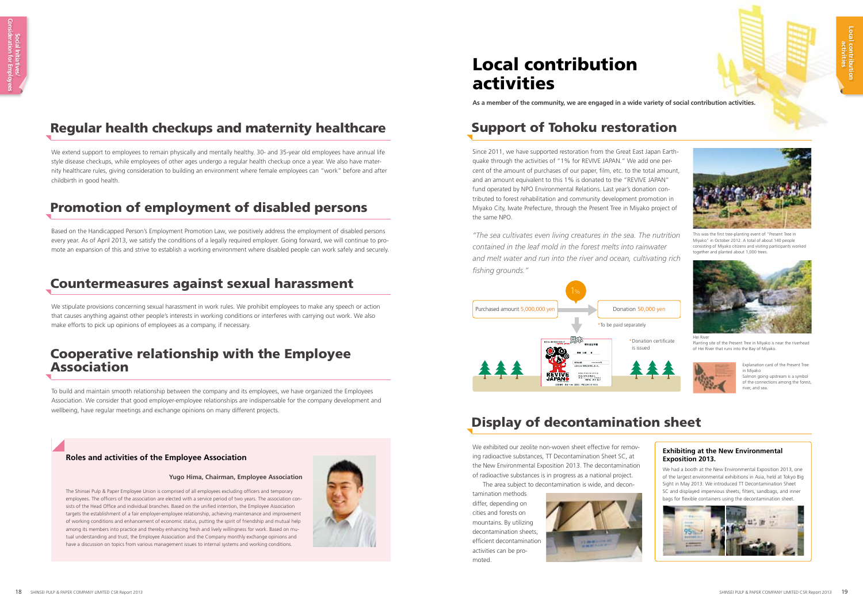### Regular health checkups and maternity healthcare

We extend support to employees to remain physically and mentally healthy. 30- and 35-year old employees have annual life style disease checkups, while employees of other ages undergo a regular health checkup once a year. We also have maternity healthcare rules, giving consideration to building an environment where female employees can "work" before and after childbirth in good health.

### Display of decontamination sheet

We exhibited our zeolite non-woven sheet effective for removing radioactive substances, TT Decontamination Sheet SC, at the New Environmental Exposition 2013. The decontamination of radioactive substances is in progress as a national project.

The area subject to decontamination is wide, and decon-

tamination methods differ, depending on cities and forests on mountains. By utilizing decontamination sheets, efficient decontamination activities can be promoted.





This was the first tree-planting event of "Present Tree in Miyako" in October 2012. A total of about 140 people consisting of Miyako citizens and visiting participants worked together and planted about 1,000 trees



### Promotion of employment of disabled persons

Based on the Handicapped Person's Employment Promotion Law, we positively address the employment of disabled persons every year. As of April 2013, we satisfy the conditions of a legally required employer. Going forward, we will continue to promote an expansion of this and strive to establish a working environment where disabled people can work safely and securely.

### Countermeasures against sexual harassment

The Shinsei Pulp & Paper Employee Union is comprised of all employees excluding officers and temporary employees. The officers of the association are elected with a service period of two years. The association consists of the Head Office and individual branches. Based on the unified intention, the Employee Association targets the establishment of a fair employer-employee relationship, achieving maintenance and improvement of working conditions and enhancement of economic status, putting the spirit of friendship and mutual help among its members into practice and thereby enhancing fresh and lively willingness for work. Based on mutual understanding and trust, the Employee Association and the Company monthly exchange opinions and have a discussion on topics from various management issues to internal systems and working conditions.



We stipulate provisions concerning sexual harassment in work rules. We prohibit employees to make any speech or action that causes anything against other people's interests in working conditions or interferes with carrying out work. We also make efforts to pick up opinions of employees as a company, if necessary.

> Salmon going upstream is a symbol of the connections among the forest river, and sea.

### Cooperative relationship with the Employee Association

To build and maintain smooth relationship between the company and its employees, we have organized the Employees Association. We consider that good employer-employee relationships are indispensable for the company development and wellbeing, have regular meetings and exchange opinions on many different projects.

#### **Roles and activities of the Employee Association**

Planting site of the Present Tree in Miyako is near the riverhead of Hei River that runs into the Bay of Miyako.

We had a booth at the New Environmental Exposition 2013, one of the largest environmental exhibitions in Asia, held at Tokyo Big Sight in May 2013. We introduced TT Decontamination Sheet SC and displayed impervious sheets, filters, sandbags, and inner bags for flexible containers using the decontamination sheet.





#### **Yugo Hima, Chairman, Employee Association**

## Local contribution activities

**As a member of the community, we are engaged in a wide variety of social contribution activities.**

Explanation card of the Present Tree in Miyako



### Support of Tohoku restoration

Since 2011, we have supported restoration from the Great East Japan Earthquake through the activities of "1% for REVIVE JAPAN." We add one percent of the amount of purchases of our paper, film, etc. to the total amount, and an amount equivalent to this 1% is donated to the "REVIVE JAPAN" fund operated by NPO Environmental Relations. Last year's donation contributed to forest rehabilitation and community development promotion in Miyako City, Iwate Prefecture, through the Present Tree in Miyako project of the same NPO.

*"The sea cultivates even living creatures in the sea. The nutrition contained in the leaf mold in the forest melts into rainwater and melt water and run into the river and ocean, cultivating rich fi shing grounds."*

Hei River

#### **Exhibiting at the New Environmental Exposition 2013.**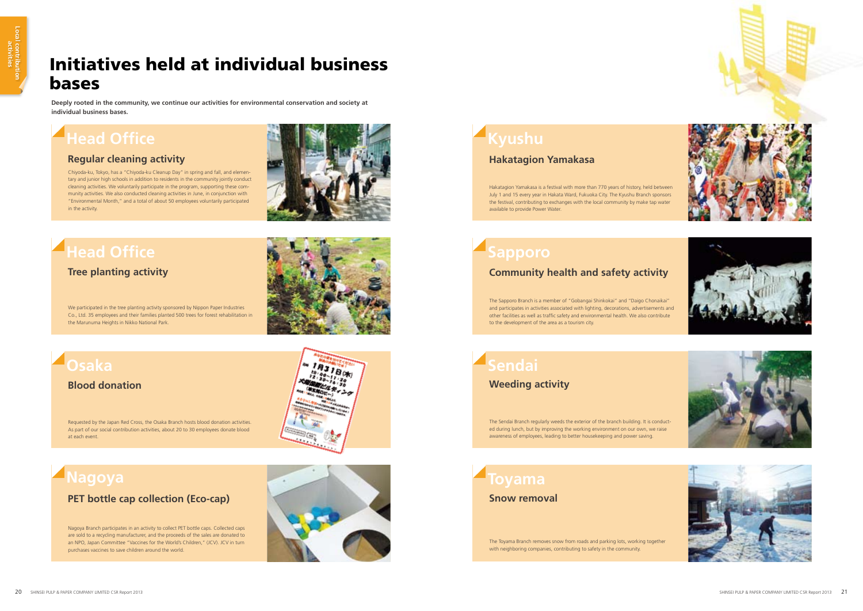

## Initiatives held at individual business bases

**Deeply rooted in the community, we continue our activities for environmental conservation and society at individual business bases.**

## **Head Office**

Chiyoda-ku, Tokyo, has a "Chiyoda-ku Cleanup Day" in spring and fall, and elementary and junior high schools in addition to residents in the community jointly conduct cleaning activities. We voluntarily participate in the program, supporting these community activities. We also conducted cleaning activities in June, in conjunction with "Environmental Month," and a total of about 50 employees voluntarily participated in the activity.



## **Head Office**

### **Regular cleaning activity**

# **Kyushu**

Hakatagion Yamakasa is a festival with more than 770 years of history, held between July 1 and 15 every year in Hakata Ward, Fukuoka City. The Kyushu Branch sponsors the festival, contributing to exchanges with the local community by make tap water available to provide Power Water.

### **Hakatagion Yamakasa**

## **Osaka**

Requested by the Japan Red Cross, the Osaka Branch hosts blood donation activities. As part of our social contribution activities, about 20 to 30 employees donate blood at each event.

#### **Blood donation**



The Sendai Branch regularly weeds the exterior of the branch building. It is conducted during lunch, but by improving the working environment on our own, we raise awareness of employees, leading to better housekeeping and power saving.

### **Sendai Weeding activity**

We participated in the tree planting activity sponsored by Nippon Paper Industries Co., Ltd. 35 employees and their families planted 500 trees for forest rehabilitation in the Marunuma Heights in Nikko National Park.

### **Tree planting activity**



## **Sapporo**

The Sapporo Branch is a member of "Gobangai Shinkokai" and "Daigo Chonaikai" and participates in activities associated with lighting, decorations, advertisements and other facilities as well as traffic safety and environmental health. We also contribute to the development of the area as a tourism city.

### **Community health and safety activity**

## **Nagoya**

Nagoya Branch participates in an activity to collect PET bottle caps. Collected caps are sold to a recycling manufacturer, and the proceeds of the sales are donated to an NPO, Japan Committee "Vaccines for the World's Children," (JCV). JCV in turn purchases vaccines to save children around the world.

### **PET bottle cap collection (Eco-cap)**

The Toyama Branch removes snow from roads and parking lots, working together with neighboring companies, contributing to safety in the community.

### **Toyama Snow removal**









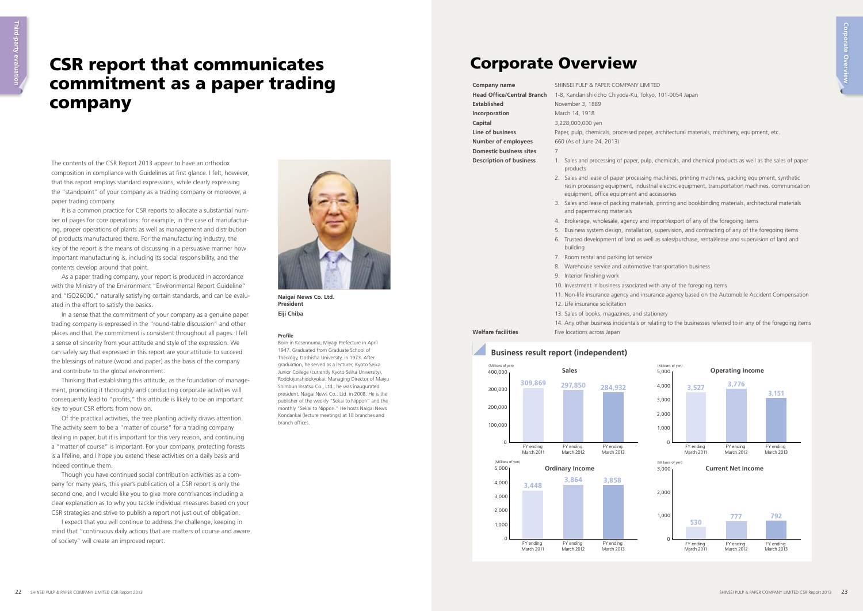## CSR report that communicates commitment as a paper trading company

The contents of the CSR Report 2013 appear to have an orthodox composition in compliance with Guidelines at first glance. I felt, however, that this report employs standard expressions, while clearly expressing the "standpoint" of your company as a trading company or moreover, a paper trading company.

It is a common practice for CSR reports to allocate a substantial number of pages for core operations: for example, in the case of manufacturing, proper operations of plants as well as management and distribution of products manufactured there. For the manufacturing industry, the key of the report is the means of discussing in a persuasive manner how important manufacturing is, including its social responsibility, and the contents develop around that point.

As a paper trading company, your report is produced in accordance with the Ministry of the Environment "Environmental Report Guideline" and "ISO26000," naturally satisfying certain standards, and can be evaluated in the effort to satisfy the basics.

> Born in Kesennuma, Miyagi Prefecture in April 1947. Graduated from Graduate School of Theology, Doshisha University, in 1973. After graduation, he served as a lecturer, Kyoto Seika Junior College (currently Kyoto Seika University), Rodokijunshidokyokai, Managing Director of Maiyu Shimbun Insatsu Co., Ltd.; he was inaugurated president, Naigai News Co., Ltd. in 2008. He is the publisher of the weekly "Sekai to Nippon" and the monthly "Sekai to Nippon." He hosts Naigai News Kondankai (lecture meetings) at 18 branches and branch offices.

In a sense that the commitment of your company as a genuine paper trading company is expressed in the "round-table discussion" and other places and that the commitment is consistent throughout all pages. I felt a sense of sincerity from your attitude and style of the expression. We can safely say that expressed in this report are your attitude to succeed the blessings of nature (wood and paper) as the basis of the company and contribute to the global environment.

Thinking that establishing this attitude, as the foundation of management, promoting it thoroughly and conducting corporate activities will consequently lead to "profits," this attitude is likely to be an important key to your CSR efforts from now on.

**Established** November 3, 1889 **Incorporation** March 14, 1918 **Capital** 3,228,000,000 yen **Number of employees** 660 (As of June 24, 2013) **Domestic business sites** 7

- products
- equipment, office equipment and accessories
- and papermaking materials
- 
- 
- building
- 7. Room rental and parking lot service
- 9. Interior finishing work
- 
- 
- 12. Life insurance solicitation
- 13. Sales of books, magazines, and stationery
- 
- **Welfare facilities** Five locations across Japan

Of the practical activities, the tree planting activity draws attention. The activity seem to be a "matter of course" for a trading company dealing in paper, but it is important for this very reason, and continuing a "matter of course" is important. For your company, protecting forests is a lifeline, and I hope you extend these activities on a daily basis and indeed continue them.

Though you have continued social contribution activities as a company for many years, this year's publication of a CSR report is only the second one, and I would like you to give more contrivances including a clear explanation as to why you tackle individual measures based on your CSR strategies and strive to publish a report not just out of obligation.

I expect that you will continue to address the challenge, keeping in mind that "continuous daily actions that are matters of course and aware of society" will create an improved report.





**Naigai News Co. Ltd. President Eiji Chiba**

#### **Profile**

**Company name** SHINSEI PULP & PAPER COMPANY LIMITED **Head Office/Central Branch** 1-8, Kandanishikicho Chiyoda-Ku, Tokyo, 101-0054 Japan **Line of business** Paper, pulp, chemicals, processed paper, architectural materials, machinery, equipment, etc.

> 2. Sales and lease of paper processing machines, printing machines, packing equipment, synthetic resin processing equipment, industrial electric equipment, transportation machines, communication

3. Sales and lease of packing materials, printing and bookbinding materials, architectural materials

4. Brokerage, wholesale, agency and import/export of any of the foregoing items

5. Business system design, installation, supervision, and contracting of any of the foregoing items 6. Trusted development of land as well as sales/purchase, rental/lease and supervision of land and

8. Warehouse service and automotive transportation business

10. Investment in business associated with any of the foregoing items

11. Non-life insurance agency and insurance agency based on the Automobile Accident Compensation

14. Any other business incidentals or relating to the businesses referred to in any of the foregoing items

### Corporate Overview



#### **Business result report (independent)**

**Description of business** 1. Sales and processing of paper, pulp, chemicals, and chemical products as well as the sales of paper